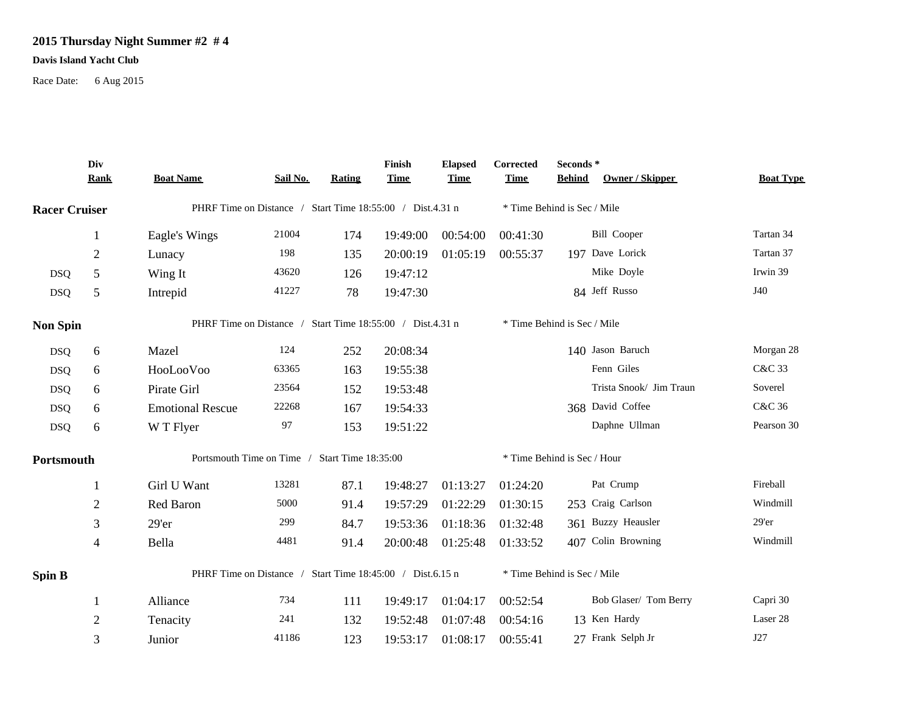## **2015 Thursday Night Summer #2 # 4**

## **Davis Island Yacht Club**

Race Date: 6 Aug 2015

|                      | Div<br><b>Rank</b> | <b>Boat Name</b>                                          | Sail No. | <b>Rating</b> | Finish<br><b>Time</b> | <b>Elapsed</b><br><b>Time</b> | Corrected<br><b>Time</b>    | Seconds*<br><b>Behind</b><br>Owner / Skipper | <b>Boat Type</b> |  |
|----------------------|--------------------|-----------------------------------------------------------|----------|---------------|-----------------------|-------------------------------|-----------------------------|----------------------------------------------|------------------|--|
| <b>Racer Cruiser</b> |                    | PHRF Time on Distance / Start Time 18:55:00 / Dist.4.31 n |          |               |                       |                               | * Time Behind is Sec / Mile |                                              |                  |  |
|                      | 1                  | Eagle's Wings                                             | 21004    | 174           | 19:49:00              | 00:54:00                      | 00:41:30                    | <b>Bill Cooper</b>                           | Tartan 34        |  |
|                      | $\overline{2}$     | Lunacy                                                    | 198      | 135           | 20:00:19              | 01:05:19                      | 00:55:37                    | 197 Dave Lorick                              | Tartan 37        |  |
| <b>DSQ</b>           | 5                  | Wing It                                                   | 43620    | 126           | 19:47:12              |                               |                             | Mike Doyle                                   | Irwin 39         |  |
| <b>DSQ</b>           | 5                  | Intrepid                                                  | 41227    | 78            | 19:47:30              |                               |                             | 84 Jeff Russo                                | J40              |  |
| <b>Non Spin</b>      |                    | PHRF Time on Distance / Start Time 18:55:00 / Dist.4.31 n |          |               |                       |                               | * Time Behind is Sec / Mile |                                              |                  |  |
| <b>DSQ</b>           | 6                  | Mazel                                                     | 124      | 252           | 20:08:34              |                               |                             | 140 Jason Baruch                             | Morgan 28        |  |
| <b>DSQ</b>           | 6                  | HooLooVoo                                                 | 63365    | 163           | 19:55:38              |                               |                             | Fenn Giles                                   | C&C 33           |  |
| <b>DSQ</b>           | 6                  | Pirate Girl                                               | 23564    | 152           | 19:53:48              |                               |                             | Trista Snook/ Jim Traun                      | Soverel          |  |
| <b>DSQ</b>           | 6                  | <b>Emotional Rescue</b>                                   | 22268    | 167           | 19:54:33              |                               |                             | 368 David Coffee                             | C&C 36           |  |
| <b>DSQ</b>           | 6                  | W T Flyer                                                 | 97       | 153           | 19:51:22              |                               |                             | Daphne Ullman                                | Pearson 30       |  |
| Portsmouth           |                    | Portsmouth Time on Time / Start Time 18:35:00             |          |               |                       |                               | * Time Behind is Sec / Hour |                                              |                  |  |
|                      | 1                  | Girl U Want                                               | 13281    | 87.1          | 19:48:27              | 01:13:27                      | 01:24:20                    | Pat Crump                                    | Fireball         |  |
|                      | $\overline{c}$     | Red Baron                                                 | 5000     | 91.4          | 19:57:29              | 01:22:29                      | 01:30:15                    | 253 Craig Carlson                            | Windmill         |  |
|                      | 3                  | $29'$ er                                                  | 299      | 84.7          | 19:53:36              | 01:18:36                      | 01:32:48                    | 361 Buzzy Heausler                           | $29'$ er         |  |
|                      | $\overline{4}$     | Bella                                                     | 4481     | 91.4          | 20:00:48              | 01:25:48                      | 01:33:52                    | 407 Colin Browning                           | Windmill         |  |
| <b>Spin B</b>        |                    | PHRF Time on Distance / Start Time 18:45:00 / Dist.6.15 n |          |               |                       |                               |                             | * Time Behind is Sec / Mile                  |                  |  |
|                      | 1                  | Alliance                                                  | 734      | 111           | 19:49:17              | 01:04:17                      | 00:52:54                    | Bob Glaser/ Tom Berry                        | Capri 30         |  |
|                      | $\mathbf{2}$       | Tenacity                                                  | 241      | 132           | 19:52:48              | 01:07:48                      | 00:54:16                    | 13 Ken Hardy                                 | Laser 28         |  |
|                      | 3                  | Junior                                                    | 41186    | 123           | 19:53:17              | 01:08:17                      | 00:55:41                    | 27 Frank Selph Jr                            | J27              |  |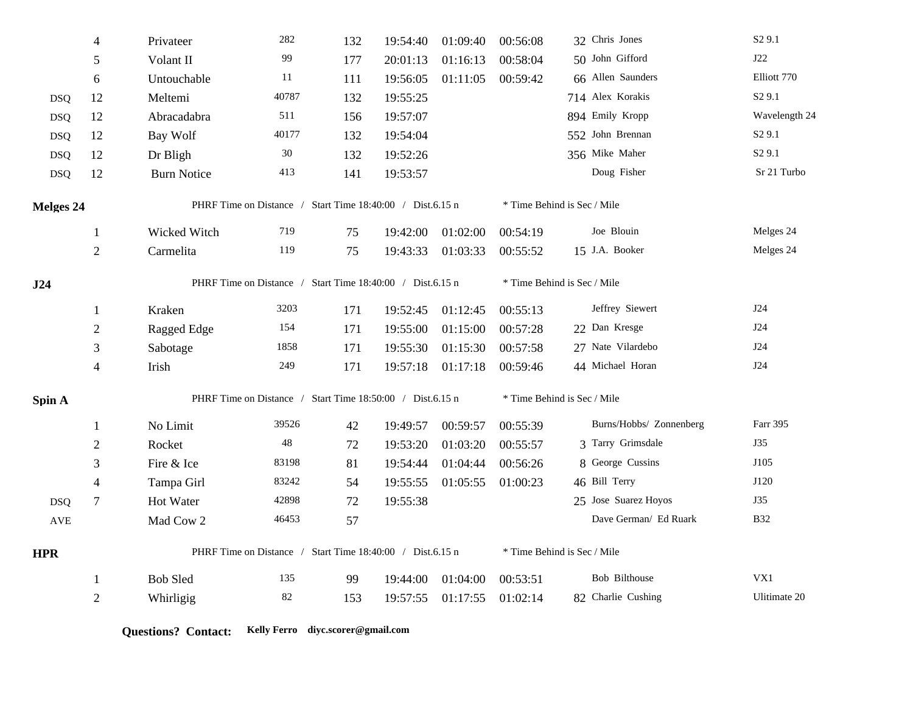|            | $\overline{4}$ | Privateer                                                 | 282                                                       | 132 | 19:54:40 | 01:09:40 | 00:56:08                    | 32 Chris Jones              | S <sub>2</sub> 9.1 |  |
|------------|----------------|-----------------------------------------------------------|-----------------------------------------------------------|-----|----------|----------|-----------------------------|-----------------------------|--------------------|--|
|            | 5              | Volant II                                                 | 99                                                        | 177 | 20:01:13 | 01:16:13 | 00:58:04                    | 50 John Gifford             | J22                |  |
|            | 6              | Untouchable                                               | 11                                                        | 111 | 19:56:05 | 01:11:05 | 00:59:42                    | 66 Allen Saunders           | Elliott 770        |  |
| <b>DSQ</b> | 12             | Meltemi                                                   | 40787                                                     | 132 | 19:55:25 |          |                             | 714 Alex Korakis            | S <sub>2</sub> 9.1 |  |
| <b>DSQ</b> | 12             | Abracadabra                                               | 511                                                       | 156 | 19:57:07 |          |                             | 894 Emily Kropp             | Wavelength 24      |  |
| <b>DSQ</b> | 12             | Bay Wolf                                                  | 40177                                                     | 132 | 19:54:04 |          |                             | 552 John Brennan            | S <sub>2</sub> 9.1 |  |
| <b>DSQ</b> | 12             | Dr Bligh                                                  | 30                                                        | 132 | 19:52:26 |          |                             | 356 Mike Maher              | S <sub>2</sub> 9.1 |  |
| <b>DSQ</b> | 12             | <b>Burn Notice</b>                                        | 413                                                       | 141 | 19:53:57 |          |                             | Doug Fisher                 | Sr 21 Turbo        |  |
| Melges 24  |                | PHRF Time on Distance / Start Time 18:40:00 / Dist.6.15 n |                                                           |     |          |          | * Time Behind is Sec / Mile |                             |                    |  |
|            | $\mathbf{1}$   | Wicked Witch                                              | 719                                                       | 75  | 19:42:00 | 01:02:00 | 00:54:19                    | Joe Blouin                  | Melges 24          |  |
|            | $\overline{2}$ | Carmelita                                                 | 119                                                       | 75  | 19:43:33 | 01:03:33 | 00:55:52                    | 15 J.A. Booker              | Melges 24          |  |
| J24        |                | PHRF Time on Distance / Start Time 18:40:00 / Dist.6.15 n |                                                           |     |          |          |                             | * Time Behind is Sec / Mile |                    |  |
|            | 1              | Kraken                                                    | 3203                                                      | 171 | 19:52:45 | 01:12:45 | 00:55:13                    | Jeffrey Siewert             | J24                |  |
|            | $\sqrt{2}$     | Ragged Edge                                               | 154                                                       | 171 | 19:55:00 | 01:15:00 | 00:57:28                    | 22 Dan Kresge               | J24                |  |
|            | 3              | Sabotage                                                  | 1858                                                      | 171 | 19:55:30 | 01:15:30 | 00:57:58                    | 27 Nate Vilardebo           | J24                |  |
|            | $\overline{4}$ | Irish                                                     | 249                                                       | 171 | 19:57:18 | 01:17:18 | 00:59:46                    | 44 Michael Horan            | <b>J24</b>         |  |
| Spin A     |                | PHRF Time on Distance / Start Time 18:50:00 / Dist.6.15 n |                                                           |     |          |          | * Time Behind is Sec / Mile |                             |                    |  |
|            | 1              | No Limit                                                  | 39526                                                     | 42  | 19:49:57 | 00:59:57 | 00:55:39                    | Burns/Hobbs/ Zonnenberg     | Farr 395           |  |
|            | $\overline{2}$ | Rocket                                                    | 48                                                        | 72  | 19:53:20 | 01:03:20 | 00:55:57                    | 3 Tarry Grimsdale           | J35                |  |
|            | 3              | Fire & Ice                                                | 83198                                                     | 81  | 19:54:44 | 01:04:44 | 00:56:26                    | 8 George Cussins            | J105               |  |
|            | $\overline{4}$ | Tampa Girl                                                | 83242                                                     | 54  | 19:55:55 | 01:05:55 | 01:00:23                    | 46 Bill Terry               | J120               |  |
| <b>DSQ</b> | $\tau$         | Hot Water                                                 | 42898                                                     | 72  | 19:55:38 |          |                             | 25 Jose Suarez Hoyos        | J35                |  |
| <b>AVE</b> |                | Mad Cow 2                                                 | 46453                                                     | 57  |          |          |                             | Dave German/ Ed Ruark       | <b>B32</b>         |  |
| <b>HPR</b> |                |                                                           | PHRF Time on Distance / Start Time 18:40:00 / Dist.6.15 n |     |          |          | * Time Behind is Sec / Mile |                             |                    |  |
|            | -1             | <b>Bob Sled</b>                                           | 135                                                       | 99  | 19:44:00 | 01:04:00 | 00:53:51                    | <b>Bob Bilthouse</b>        | VX1                |  |
|            | $\overline{2}$ | Whirligig                                                 | $82\,$                                                    | 153 | 19:57:55 | 01:17:55 | 01:02:14                    | 82 Charlie Cushing          | Ulitimate 20       |  |

**Questions? Contact: Kelly Ferro diyc.scorer@gmail.com**